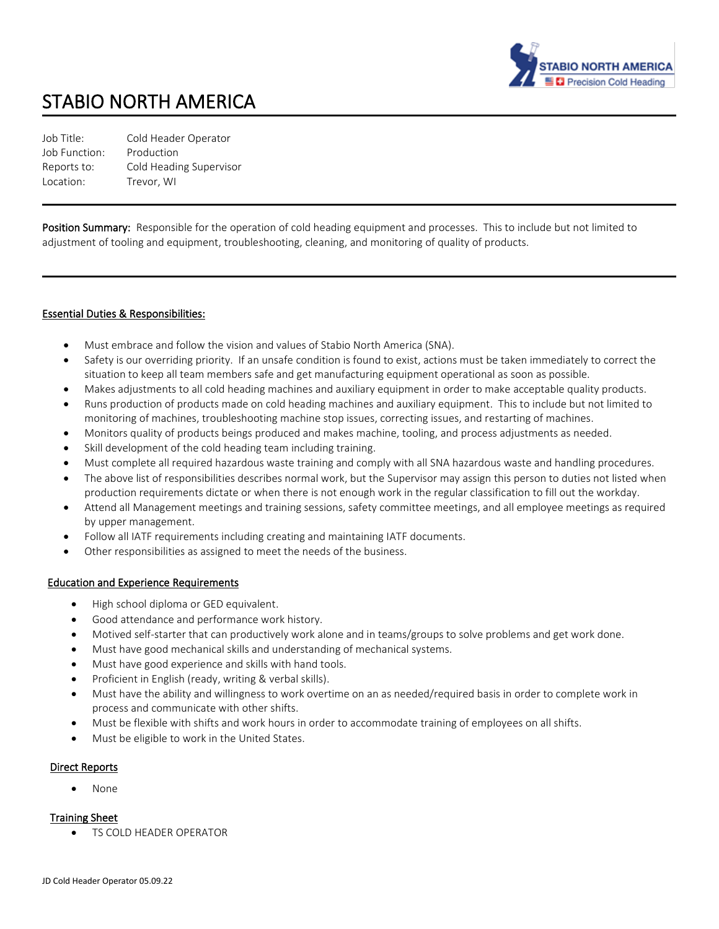

# STABIO NORTH AMERICA

| Job Title:    | Cold Header Operator    |
|---------------|-------------------------|
| Job Function: | Production              |
| Reports to:   | Cold Heading Supervisor |
| Location:     | Trevor. WI              |

Position Summary: Responsible for the operation of cold heading equipment and processes. This to include but not limited to adjustment of tooling and equipment, troubleshooting, cleaning, and monitoring of quality of products.

### Essential Duties & Responsibilities:

- Must embrace and follow the vision and values of Stabio North America (SNA).
- Safety is our overriding priority. If an unsafe condition is found to exist, actions must be taken immediately to correct the situation to keep all team members safe and get manufacturing equipment operational as soon as possible.
- Makes adjustments to all cold heading machines and auxiliary equipment in order to make acceptable quality products.
- Runs production of products made on cold heading machines and auxiliary equipment. This to include but not limited to monitoring of machines, troubleshooting machine stop issues, correcting issues, and restarting of machines.
- Monitors quality of products beings produced and makes machine, tooling, and process adjustments as needed.
- Skill development of the cold heading team including training.
- Must complete all required hazardous waste training and comply with all SNA hazardous waste and handling procedures.
- The above list of responsibilities describes normal work, but the Supervisor may assign this person to duties not listed when production requirements dictate or when there is not enough work in the regular classification to fill out the workday.
- Attend all Management meetings and training sessions, safety committee meetings, and all employee meetings as required by upper management.
- Follow all IATF requirements including creating and maintaining IATF documents.
- Other responsibilities as assigned to meet the needs of the business.

### Education and Experience Requirements

- High school diploma or GED equivalent.
- Good attendance and performance work history.
- Motived self-starter that can productively work alone and in teams/groups to solve problems and get work done.
- Must have good mechanical skills and understanding of mechanical systems.
- Must have good experience and skills with hand tools.
- Proficient in English (ready, writing & verbal skills).
- Must have the ability and willingness to work overtime on an as needed/required basis in order to complete work in process and communicate with other shifts.
- Must be flexible with shifts and work hours in order to accommodate training of employees on all shifts.
- Must be eligible to work in the United States.

### Direct Reports

• None

#### Training Sheet

TS COLD HEADER OPERATOR